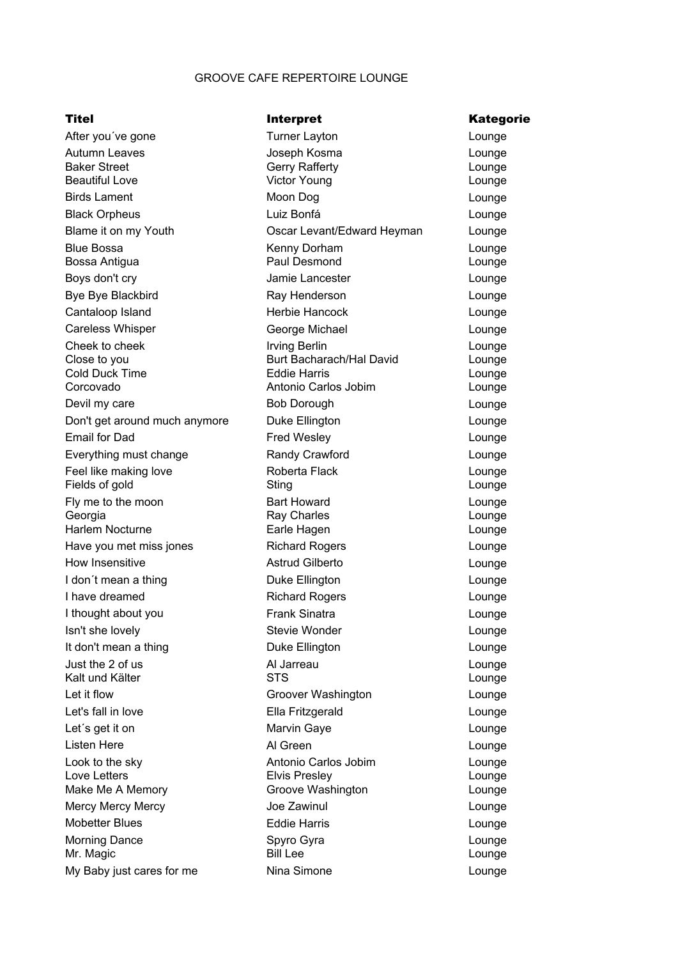## GROOVE CAFE REPERTOIRE LOUNGE

## Titel **Interpret** Contract Titel **Kategorie**

| After you've gone                 | <b>Turner Layton</b>       | Lounge           |
|-----------------------------------|----------------------------|------------------|
| Autumn Leaves                     | Joseph Kosma               | Lounge           |
| <b>Baker Street</b>               | <b>Gerry Rafferty</b>      | Lounge           |
| <b>Beautiful Love</b>             | <b>Victor Young</b>        | Lounge           |
| <b>Birds Lament</b>               | Moon Dog                   | Lounge           |
| <b>Black Orpheus</b>              | Luiz Bonfá                 | Lounge           |
| Blame it on my Youth              | Oscar Levant/Edward Heyman | Lounge           |
| <b>Blue Bossa</b>                 | Kenny Dorham               | Lounge           |
| Bossa Antigua                     | Paul Desmond               | Lounge           |
| Boys don't cry                    | Jamie Lancester            | Lounge           |
| Bye Bye Blackbird                 | Ray Henderson              | Lounge           |
| Cantaloop Island                  | Herbie Hancock             | Lounge           |
| <b>Careless Whisper</b>           | George Michael             | Lounge           |
| Cheek to cheek                    | <b>Irving Berlin</b>       | Lounge           |
| Close to you                      | Burt Bacharach/Hal David   | Lounge           |
| <b>Cold Duck Time</b>             | <b>Eddie Harris</b>        | Lounge           |
| Corcovado                         | Antonio Carlos Jobim       | Lounge           |
| Devil my care                     | <b>Bob Dorough</b>         | Lounge           |
| Don't get around much anymore     | Duke Ellington             | Lounge           |
| <b>Email for Dad</b>              | <b>Fred Wesley</b>         | Lounge           |
| Everything must change            | Randy Crawford             | Lounge           |
| Feel like making love             | Roberta Flack              | Lounge           |
| Fields of gold                    | Sting                      | Lounge           |
| Fly me to the moon                | <b>Bart Howard</b>         | Lounge           |
| Georgia<br><b>Harlem Nocturne</b> | Ray Charles<br>Earle Hagen | Lounge           |
| Have you met miss jones           | <b>Richard Rogers</b>      | Lounge<br>Lounge |
| How Insensitive                   | <b>Astrud Gilberto</b>     | Lounge           |
| I don't mean a thing              | Duke Ellington             | Lounge           |
| I have dreamed                    | <b>Richard Rogers</b>      | Lounge           |
| I thought about you               | <b>Frank Sinatra</b>       | Lounge           |
| Isn't she lovely                  | <b>Stevie Wonder</b>       | Lounge           |
| It don't mean a thing             | Duke Ellington             | Lounge           |
| Just the 2 of us                  | Al Jarreau                 | Lounge           |
| Kalt und Kälter                   | <b>STS</b>                 | Lounge           |
| Let it flow                       | Groover Washington         | Lounge           |
| Let's fall in love                | Ella Fritzgerald           | Lounge           |
| Let's get it on                   | Marvin Gaye                | Lounge           |
| <b>Listen Here</b>                | Al Green                   | Lounge           |
| Look to the sky                   | Antonio Carlos Jobim       | Lounge           |
| Love Letters                      | <b>Elvis Presley</b>       | Lounge           |
| Make Me A Memory                  | Groove Washington          | Lounge           |
| <b>Mercy Mercy Mercy</b>          | Joe Zawinul                | Lounge           |
| <b>Mobetter Blues</b>             | <b>Eddie Harris</b>        | Lounge           |
| <b>Morning Dance</b>              | Spyro Gyra                 | Lounge           |
| Mr. Magic                         | <b>Bill Lee</b>            | Lounge           |
| My Baby just cares for me         | Nina Simone                | Lounge           |